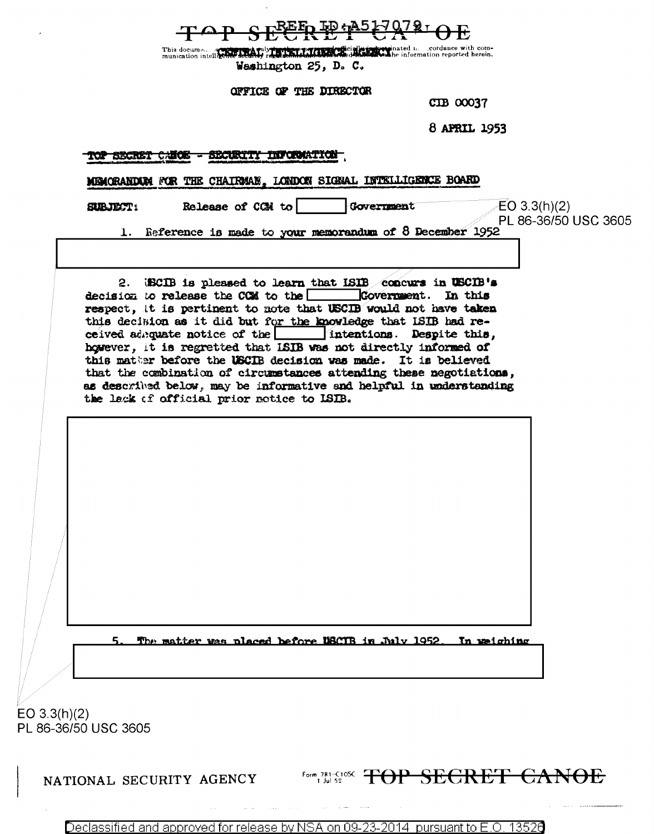<u>ED:A517079-</u>

cordance with com-This docume... a correct of miles there per recognize the endpot inated i. cordance with com-<br>munication intelligence security regulations in the decaded with eighting information reported herein. Weshington 25, D. C.

OFFICE OF THE DIRECTOR

CIB 00037

8 APRIL 1953

## TOP SECRET CANOE - SECURITY INFORMATION

MEMORANDEN FOR THE CHAIRMAN, LONDON SIGNAL INTELLIGENCE BOARD

Release of CCM to **SUBJECT:** 

Government

 $EO 3.3(h)(2)$ PL 86-36/50 USC 3605

Reference is made to your memorandum of 8 December 1952

(ECIB is pleased to learn that ISIB concurs in USCIB's  $2.$ decision to release the COM to the Covernment. In this respect, it is pertinent to note that USCIB would not have taken this decision as it did but for the knowledge that ISIB had reintentions. Despite this, ceived adrquate notice of the however, it is regretted that ISIB was not directly informed of this mather before the USCIB decision was made. It is believed that the combination of circumstances attending these negotiations, as described below, may be informative and helpful in understanding the lack of official prior notice to ISIB.

The matter was placed before USCIB in July 1952. In weighing

EO  $3.3(h)(2)$ PL 86-36/50 USC 3605

NATIONAL SECURITY AGENCY

Form 781-C10SC TOP SECRET CANOE

2014 13526 Declassified and approved for release by NSA on 09-23pursuant to E.O.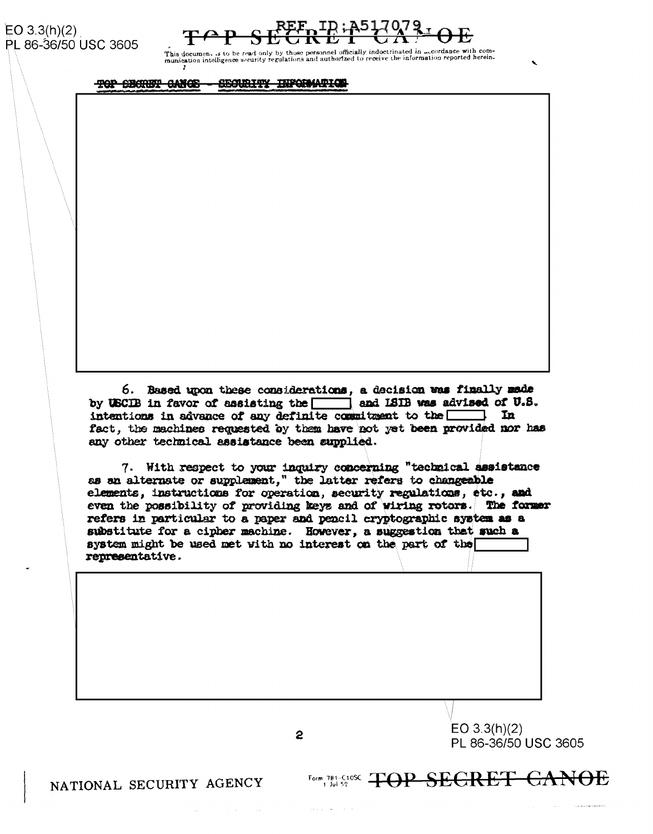EO  $3.3(h)(2)$ PL 86-36/50 USC 3605



.<br>This document is to be read only by those personnel officially indoctrinated in mecrolance with com-<br>munication intelligence security regulations and authorized to receive the information reported herein.

TOP SECRET CANCE - SECURITY INFORMATION

6. Based upon these considerations, a decision was finally mede by USCIB in favor of assisting the and ISIB was advised of U.S. intentions in advance of any definite commitment to the  $\Box$  In fact, the machines requested by them have not yet been provided nor has any other technical assistance been supplied.

7. With respect to your inquiry concerning "technical assistance as an alternate or supplement," the latter refers to changeable elements, instructions for operation, security regulations, etc., and even the possibility of providing keys and of wiring rotors. The former refers in particular to a paper and pencil cryptographic system as a substitute for a cipher machine. However, a suggestion that such a system might be used met with no interest on the part of the representative.

2

EO  $3.3(h)(2)$ PL 86-36/50 USC 3605

Form 781-C1088 <del>TOP SECRET CANOE</del>

NATIONAL SECURITY AGENCY